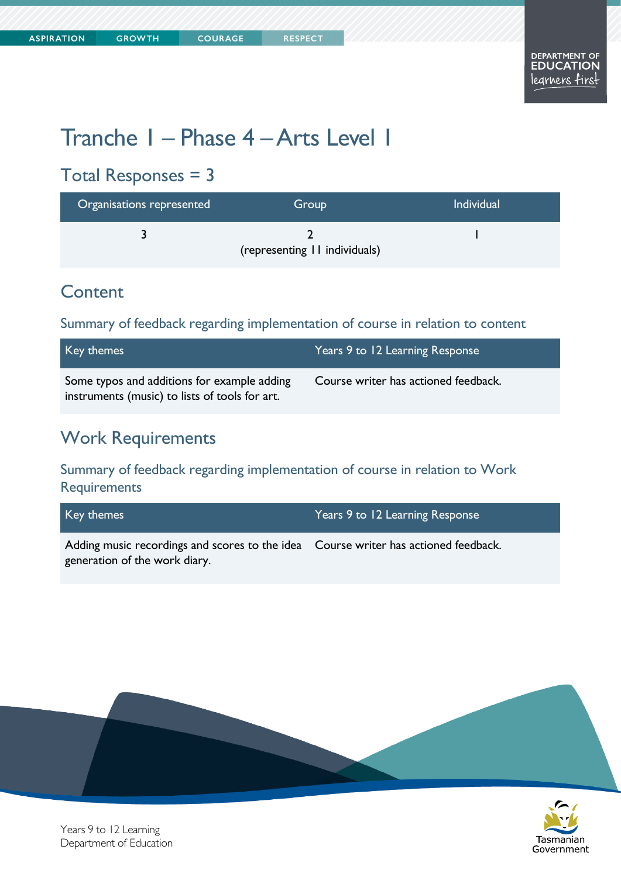# Tranche 1 – Phase 4 –Arts Level 1

**COURAGE** 

### Total Responses = 3

| Organisations represented | Group                         | <b>Individual</b> |
|---------------------------|-------------------------------|-------------------|
|                           | (representing II individuals) |                   |

#### **Content**

Summary of feedback regarding implementation of course in relation to content

| Key themes                                                                                    | Years 9 to 12 Learning Response      |
|-----------------------------------------------------------------------------------------------|--------------------------------------|
| Some typos and additions for example adding<br>instruments (music) to lists of tools for art. | Course writer has actioned feedback. |

#### Work Requirements

Summary of feedback regarding implementation of course in relation to Work **Requirements** 

| Key themes                                                                                                           | Years 9 to 12 Learning Response |
|----------------------------------------------------------------------------------------------------------------------|---------------------------------|
| Adding music recordings and scores to the idea Course writer has actioned feedback.<br>generation of the work diary. |                                 |





Years 9 to 12 Learning Department of Education